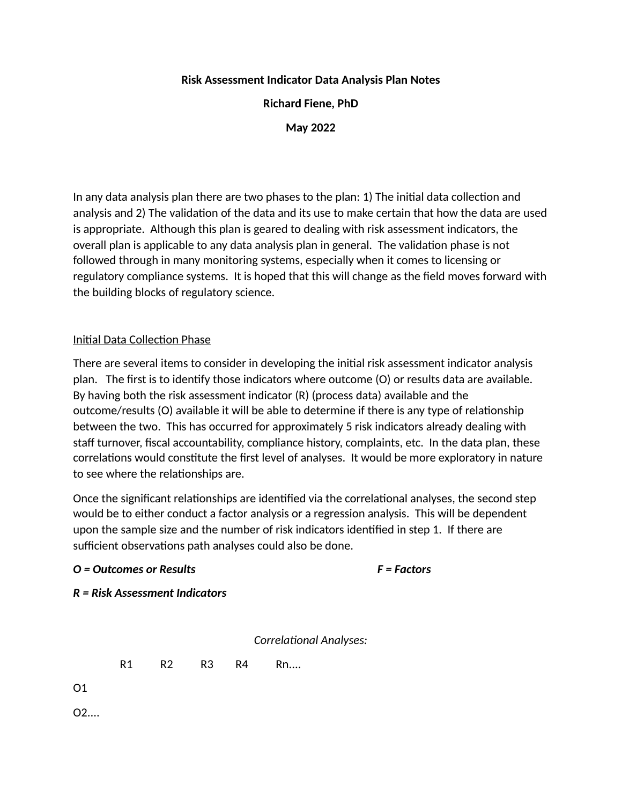## **Risk Assessment Indicator Data Analysis Plan Notes**

**Richard Fiene, PhD**

**May 2022**

In any data analysis plan there are two phases to the plan: 1) The initial data collection and analysis and 2) The validation of the data and its use to make certain that how the data are used is appropriate. Although this plan is geared to dealing with risk assessment indicators, the overall plan is applicable to any data analysis plan in general. The validation phase is not followed through in many monitoring systems, especially when it comes to licensing or regulatory compliance systems. It is hoped that this will change as the field moves forward with the building blocks of regulatory science.

# Initial Data Collection Phase

There are several items to consider in developing the initial risk assessment indicator analysis plan. The first is to identify those indicators where outcome (O) or results data are available. By having both the risk assessment indicator (R) (process data) available and the outcome/results (O) available it will be able to determine if there is any type of relationship between the two. This has occurred for approximately 5 risk indicators already dealing with staff turnover, fiscal accountability, compliance history, complaints, etc. In the data plan, these correlations would constitute the first level of analyses. It would be more exploratory in nature to see where the relationships are.

Once the significant relationships are identified via the correlational analyses, the second step would be to either conduct a factor analysis or a regression analysis. This will be dependent upon the sample size and the number of risk indicators identified in step 1. If there are sufficient observations path analyses could also be done.

## *O = Outcomes or Results F = Factors*

*R = Risk Assessment Indicators*

*Correlational Analyses:*

R1 R2 R3 R4 Rn....

O1

O2....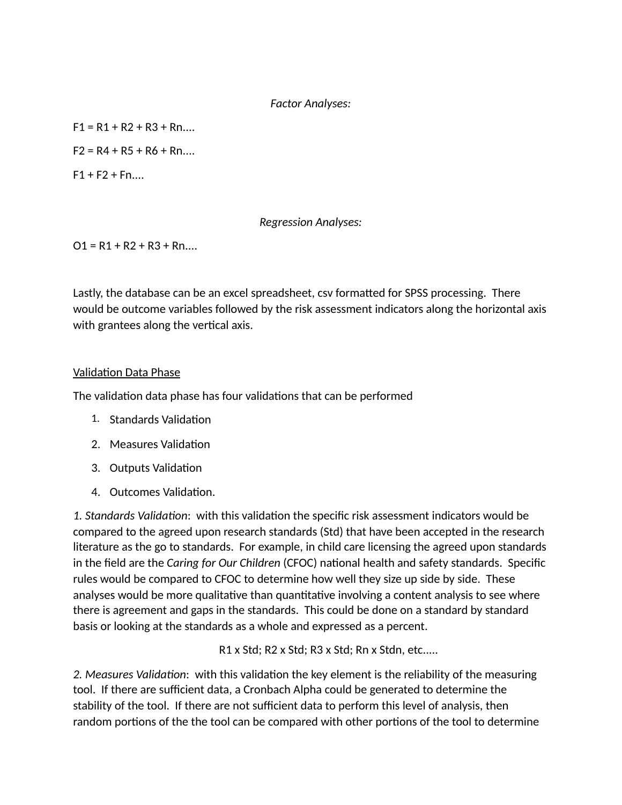#### *Factor Analyses:*

 $F1 = R1 + R2 + R3 + R$ n....

 $F2 = R4 + R5 + R6 + Rn...$ 

 $F1 + F2 + Fn...$ 

## *Regression Analyses:*

 $O1 = R1 + R2 + R3 + R$ n....

Lastly, the database can be an excel spreadsheet, csv formatted for SPSS processing. There would be outcome variables followed by the risk assessment indicators along the horizontal axis with grantees along the vertical axis.

## Validation Data Phase

The validation data phase has four validations that can be performed

- 1. Standards Validation
- 2. Measures Validation
- 3. Outputs Validation
- 4. Outcomes Validation.

*1. Standards Validation*: with this validation the specific risk assessment indicators would be compared to the agreed upon research standards (Std) that have been accepted in the research literature as the go to standards. For example, in child care licensing the agreed upon standards in the field are the *Caring for Our Children* (CFOC) national health and safety standards. Specific rules would be compared to CFOC to determine how well they size up side by side. These analyses would be more qualitative than quantitative involving a content analysis to see where there is agreement and gaps in the standards. This could be done on a standard by standard basis or looking at the standards as a whole and expressed as a percent.

R1 x Std; R2 x Std; R3 x Std; Rn x Stdn, etc.....

*2. Measures Validation*: with this validation the key element is the reliability of the measuring tool. If there are sufficient data, a Cronbach Alpha could be generated to determine the stability of the tool. If there are not sufficient data to perform this level of analysis, then random portions of the the tool can be compared with other portions of the tool to determine